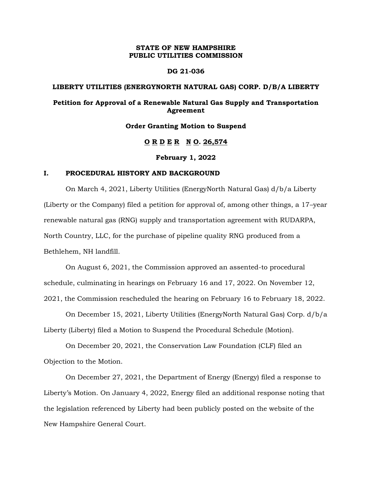## **STATE OF NEW HAMPSHIRE PUBLIC UTILITIES COMMISSION**

## **DG 21-036**

## **LIBERTY UTILITIES (ENERGYNORTH NATURAL GAS) CORP. D/B/A LIBERTY**

# **Petition for Approval of a Renewable Natural Gas Supply and Transportation Agreement**

#### **Order Granting Motion to Suspend**

# **O R D E R N O. 26,574**

## **February 1, 2022**

## **I. PROCEDURAL HISTORY AND BACKGROUND**

On March 4, 2021, Liberty Utilities (EnergyNorth Natural Gas) d/b/a Liberty (Liberty or the Company) filed a petition for approval of, among other things, a 17–year renewable natural gas (RNG) supply and transportation agreement with RUDARPA, North Country, LLC, for the purchase of pipeline quality RNG produced from a Bethlehem, NH landfill.

On August 6, 2021, the Commission approved an assented-to procedural schedule, culminating in hearings on February 16 and 17, 2022. On November 12, 2021, the Commission rescheduled the hearing on February 16 to February 18, 2022.

On December 15, 2021, Liberty Utilities (EnergyNorth Natural Gas) Corp. d/b/a Liberty (Liberty) filed a Motion to Suspend the Procedural Schedule (Motion).

On December 20, 2021, the Conservation Law Foundation (CLF) filed an Objection to the Motion.

On December 27, 2021, the Department of Energy (Energy) filed a response to Liberty's Motion. On January 4, 2022, Energy filed an additional response noting that the legislation referenced by Liberty had been publicly posted on the website of the New Hampshire General Court.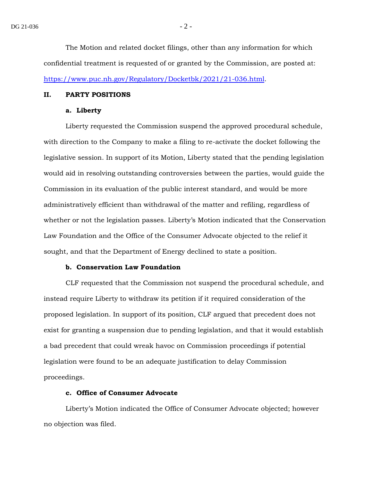The Motion and related docket filings, other than any information for which confidential treatment is requested of or granted by the Commission, are posted at: [https://www.puc.nh.gov/Regulatory/Docketbk/2021/21-036.html.](https://www.puc.nh.gov/Regulatory/Docketbk/2021/21-036.html)

#### **II. PARTY POSITIONS**

#### **a. Liberty**

Liberty requested the Commission suspend the approved procedural schedule, with direction to the Company to make a filing to re-activate the docket following the legislative session. In support of its Motion, Liberty stated that the pending legislation would aid in resolving outstanding controversies between the parties, would guide the Commission in its evaluation of the public interest standard, and would be more administratively efficient than withdrawal of the matter and refiling, regardless of whether or not the legislation passes. Liberty's Motion indicated that the Conservation Law Foundation and the Office of the Consumer Advocate objected to the relief it sought, and that the Department of Energy declined to state a position.

## **b. Conservation Law Foundation**

CLF requested that the Commission not suspend the procedural schedule, and instead require Liberty to withdraw its petition if it required consideration of the proposed legislation. In support of its position, CLF argued that precedent does not exist for granting a suspension due to pending legislation, and that it would establish a bad precedent that could wreak havoc on Commission proceedings if potential legislation were found to be an adequate justification to delay Commission proceedings.

# **c. Office of Consumer Advocate**

Liberty's Motion indicated the Office of Consumer Advocate objected; however no objection was filed.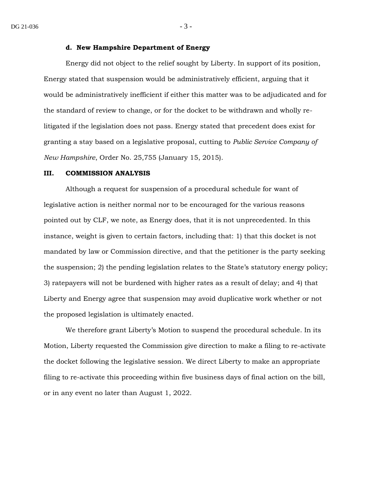#### **d. New Hampshire Department of Energy**

Energy did not object to the relief sought by Liberty. In support of its position, Energy stated that suspension would be administratively efficient, arguing that it would be administratively inefficient if either this matter was to be adjudicated and for the standard of review to change, or for the docket to be withdrawn and wholly relitigated if the legislation does not pass. Energy stated that precedent does exist for granting a stay based on a legislative proposal, cutting to *Public Service Company of New Hampshire*, Order No. 25,755 (January 15, 2015).

#### **III. COMMISSION ANALYSIS**

Although a request for suspension of a procedural schedule for want of legislative action is neither normal nor to be encouraged for the various reasons pointed out by CLF, we note, as Energy does, that it is not unprecedented. In this instance, weight is given to certain factors, including that: 1) that this docket is not mandated by law or Commission directive, and that the petitioner is the party seeking the suspension; 2) the pending legislation relates to the State's statutory energy policy; 3) ratepayers will not be burdened with higher rates as a result of delay; and 4) that Liberty and Energy agree that suspension may avoid duplicative work whether or not the proposed legislation is ultimately enacted.

We therefore grant Liberty's Motion to suspend the procedural schedule. In its Motion, Liberty requested the Commission give direction to make a filing to re-activate the docket following the legislative session. We direct Liberty to make an appropriate filing to re-activate this proceeding within five business days of final action on the bill, or in any event no later than August 1, 2022.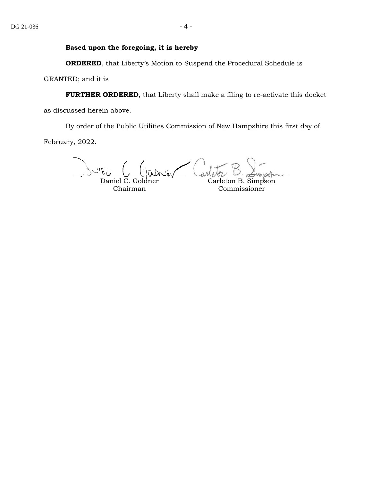# **Based upon the foregoing, it is hereby**

**ORDERED**, that Liberty's Motion to Suspend the Procedural Schedule is

GRANTED; and it is

**FURTHER ORDERED**, that Liberty shall make a filing to re-activate this docket

as discussed herein above.

By order of the Public Utilities Commission of New Hampshire this first day of

February, 2022.

Daniel C. Goldner Carleton B. Simpson

Chairman

Commissioner